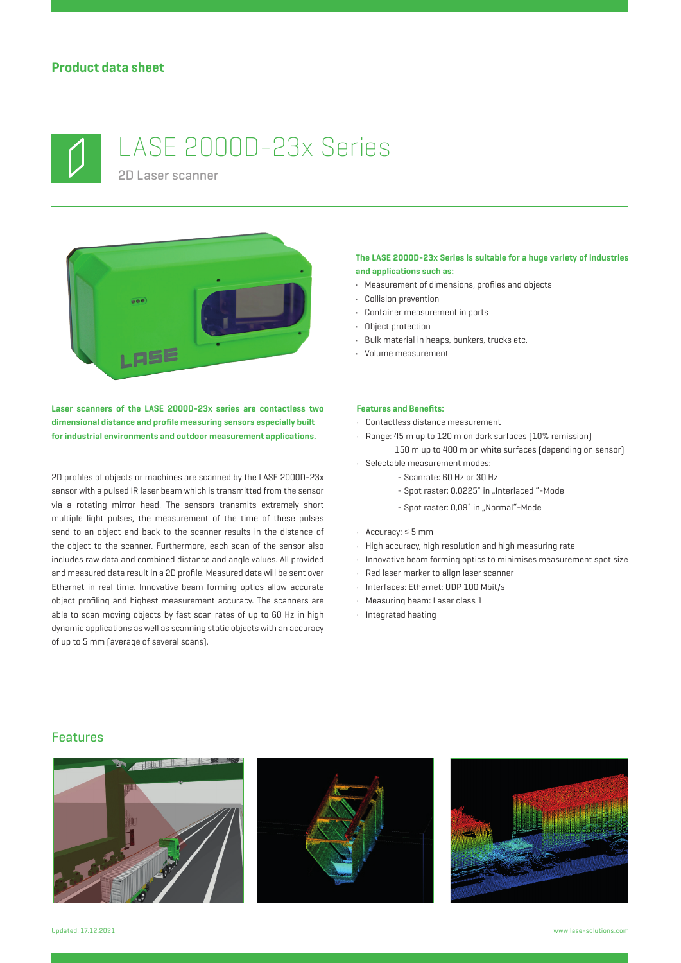

# LASE 2000D-23x Series

2D Laser scanner



**Laser scanners of the LASE 2000D-23x series are contactless two dimensional distance and profile measuring sensors especially built for industrial environments and outdoor measurement applications.**

2D profiles of objects or machines are scanned by the LASE 2000D-23x sensor with a pulsed IR laser beam which is transmitted from the sensor via a rotating mirror head. The sensors transmits extremely short multiple light pulses, the measurement of the time of these pulses send to an object and back to the scanner results in the distance of the object to the scanner. Furthermore, each scan of the sensor also includes raw data and combined distance and angle values. All provided and measured data result in a 2D profile. Measured data will be sent over Ethernet in real time. Innovative beam forming optics allow accurate object profiling and highest measurement accuracy. The scanners are able to scan moving objects by fast scan rates of up to 60 Hz in high dynamic applications as well as scanning static objects with an accuracy of up to 5 mm (average of several scans).

#### **The LASE 2000D-23x Series is suitable for a huge variety of industries and applications such as:**

- Measurement of dimensions, profiles and objects
- Collision prevention
- Container measurement in ports
- Object protection
- Bulk material in heaps, bunkers, trucks etc.
- Volume measurement

#### **Features and Benefits:**

- Contactless distance measurement
- Range: 45 m up to 120 m on dark surfaces (10% remission) 150 m up to 400 m on white surfaces (depending on sensor)
- Selectable measurement modes:
	- Scanrate: 60 Hz or 30 Hz
		- Spot raster: 0,0225° in "Interlaced "-Mode
		- Spot raster: 0,09° in "Normal"-Mode
- Accuracy: ≤ 5 mm
- High accuracy, high resolution and high measuring rate
- Innovative beam forming optics to minimises measurement spot size
- Red laser marker to align laser scanner
- Interfaces: Ethernet: UDP 100 Mbit/s
- Measuring beam: Laser class 1
- Integrated heating

#### Features